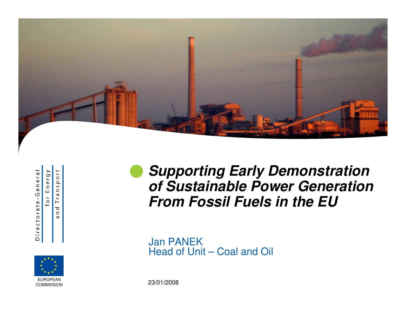

Directorate-General

Energy  $\frac{1}{10}$  $\mathtt{\Omega}$ for

 $\mathsf{S}$  $\mathbf{C}$  $\boldsymbol{\varpi}$  $\overline{\Gamma}$  $\sigma$  $\subset$  $\sigma$ 



**Supporting Early Demonstration of Sustainable Power GenerationFrom Fossil Fuels in the EU** $\bullet$ 

Jan PANEKHead of Unit – Coal and Oil

23/01/2008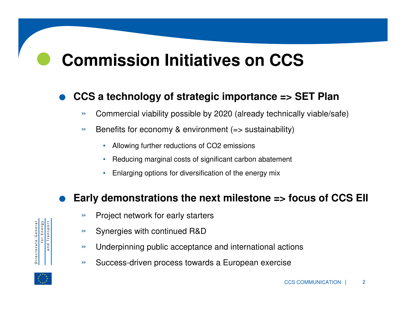## $\bullet$ **Commission Initiatives on CCS**

#### $\bullet$ **CCS a technology of strategic importance => SET Plan**

- »Commercial viability possible by 2020 (already technically viable/safe)
- » Benefits for economy & environment (=> sustainability)
	- •Allowing further reductions of CO2 emissions
	- •Reducing marginal costs of significant carbon abatement
	- •Enlarging options for diversification of the energy mix

#### $\bullet$ **Early demonstrations the next milestone => focus of CCS EII**

- »Project network for early starters
- »Synergies with continued R&D
- »Underpinning public acceptance and international actions
- »Success-driven process towards a European exercise



for Energy<br>and Transport

Directorate-General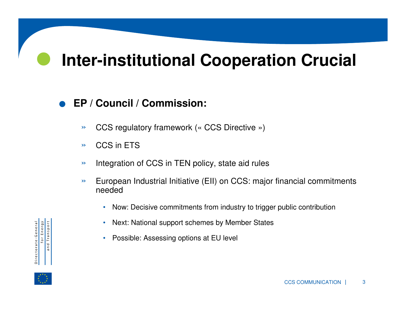### $\bullet$ **Inter-institutional Cooperation Crucial**

#### $\bullet$ **EP / Council / Commission:**

- »CCS regulatory framework (« CCS Directive »)
- »CCS in ETS
- »Integration of CCS in TEN policy, state aid rules
- » European Industrial Initiative (EII) on CCS: major financial commitments needed
	- Now: Decisive commitments from industry to trigger public contribution
	- •Next: National support schemes by Member States
	- Possible: Assessing options at EU level



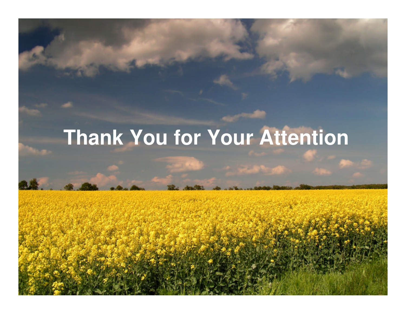# **Thank You for Your Attention**

Ъ,

CONSTRUCTIONS COMMUNICATION

<sup>|</sup><sup>4</sup>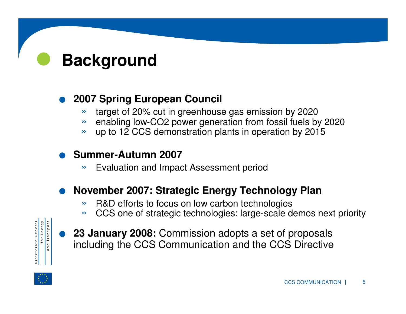## $\bullet$ **Background**

#### $\bullet$ **2007 Spring European Council**

- »target of 20% cut in greenhouse gas emission by 2020
- » enabling low-CO2 power generation from fossil fuels by 2020
- » up to 12 CCS demonstration plants in operation by 2015

#### $\bullet$ **Summer-Autumn 2007**

»Evaluation and Impact Assessment period

#### $\bullet$ **November 2007: Strategic Energy Technology Plan**

- »R&D efforts to focus on low carbon technologies
- $\rightarrow$ CCS one of strategic technologies: large-scale demos next priority



 $\bullet$ 

**23 January 2008:** Commission adopts a set of proposals including the CCS Communication and the CCS Directive

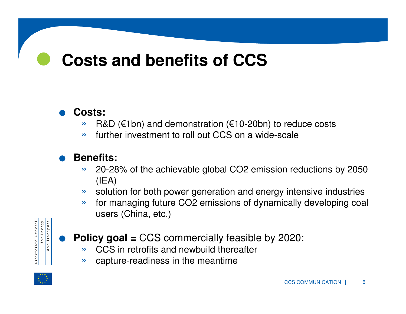## $\bullet$ **Costs and benefits of CCS**

#### $\bullet$ **Costs:**

- »R&D (€1bn) and demonstration (€10-20bn) to reduce costs
- »further investment to roll out CCS on a wide-scale

#### $\bullet$ **Benefits:**

- $\rightarrow$  20-28% of the achievable global CO2 emission reductions by 2050 (IEA)
- » solution for both power generation and energy intensive industries
- » for managing future CO2 emissions of dynamically developing coal users (China, etc.)



 $\bullet$ 

- **Policy goal =** CCS commercially feasible by 2020:
	- » CCS in retrofits and newbuild thereafter
	- » capture-readiness in the meantime

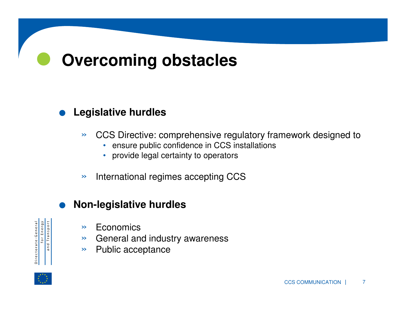## $\bullet$ **Overcoming obstacles**

#### $\bullet$ **Legislative hurdles**

- $\rightarrow$  CCS Directive: comprehensive regulatory framework designed to
	- ensure public confidence in CCS installations
	- provide legal certainty to operators
- »International regimes accepting CCS

#### $\bullet$ **Non-legislative hurdles**

- Directorate-General<br>for Energy<br>and Transport
- » Economics
- » General and industry awareness
- »Public acceptance

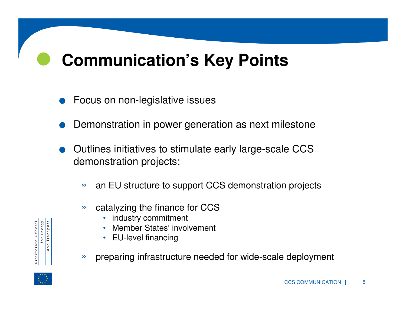## $\bullet$ **Communication's Key Points**

- $\bullet$ Focus on non-legislative issues
- $\bullet$ Demonstration in power generation as next milestone
- $\bullet$  Outlines initiatives to stimulate early large-scale CCS demonstration projects:
	- $\rightarrow$ an EU structure to support CCS demonstration projects
	- » catalyzing the finance for CCS
		- industry commitment
		- •Member States' involvement
		- EU-level financing
	- $\rightarrow$ preparing infrastructure needed for wide-scale deployment



Directorate-General<br>for Energy<br>and Transport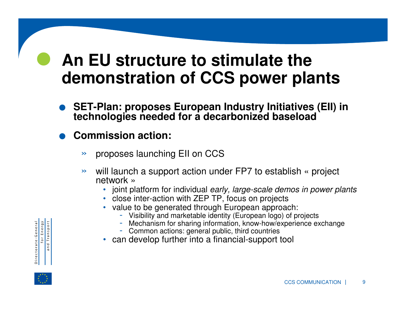## $\bullet$ **An EU structure to stimulate the demonstration of CCS power plants**

- $\bullet$ **SET-Plan: proposes European Industry Initiatives (EII) in technologies needed for a decarbonized baseload**
- $\bullet$  **Commission action:**
	- »proposes launching EII on CCS
	- $\rightarrow$ will launch a support action under FP7 to establish « project network »
		- joint platform for individual early, large-scale demos in power plants
		- close inter-action with ZEP TP, focus on projects
		- value to be generated through European approach:
			- Visibility and marketable identity (European logo) of projects
			- Mechanism for sharing information, know-how/experience exchange-
			- Common actions: general public, third countries
		- can develop further into a financial-support tool



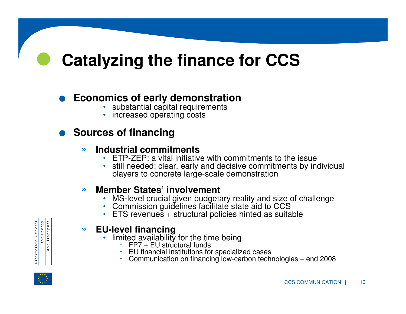## $\bullet$ **Catalyzing the finance for CCS**

## $\bullet$ **e Economics of early demonstration**<br> **•** substantial capital requirements<br> **•** increased operating costs

- substantial capital requirements
- increased operating costs

## **. Sources of financing<br>Industrial commitive**

#### »**Industrial commitments**

- ETP-ZEP: a vital initiative with commitments to the issue
- still needed: clear, early and decisive commitments by individual •players to concrete large-scale demonstration

#### »**Member States' involvement**

- MS-level crucial given budgetary reality and size of challenge Commission guidelines facilitate state aid to CCS
- 
- ETS revenues + structural policies hinted as suitable

#### »**EU-level financing**

- limited availability for the time being<br>FP7 + EU structural funds
	-
	- EU financial institutions for specialized cases
	- Communication on financing low-carbon technologies end 2008



for Energy<br>and Transport

Directorate-General